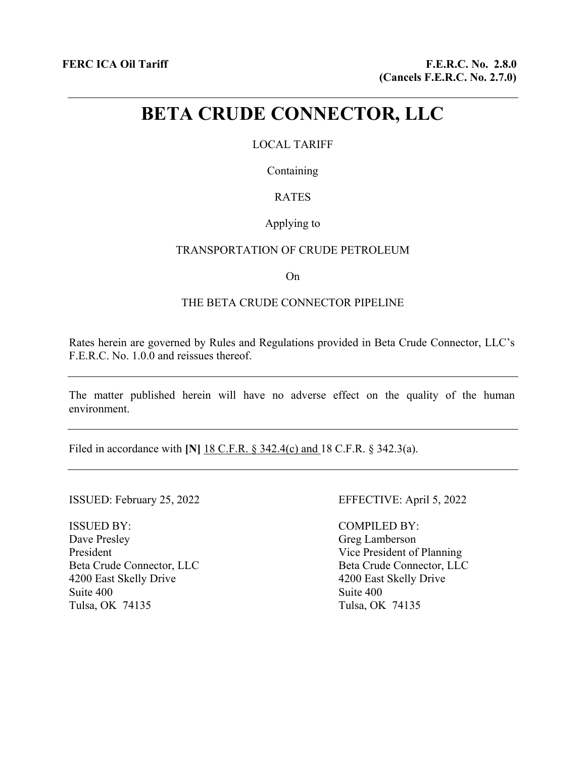# **BETA CRUDE CONNECTOR, LLC**

## LOCAL TARIFF

Containing

# RATES

### Applying to

#### TRANSPORTATION OF CRUDE PETROLEUM

On

### THE BETA CRUDE CONNECTOR PIPELINE

Rates herein are governed by Rules and Regulations provided in Beta Crude Connector, LLC's F.E.R.C. No. 1.0.0 and reissues thereof.

The matter published herein will have no adverse effect on the quality of the human environment.

Filed in accordance with **[N]** 18 C.F.R. § 342.4(c) and 18 C.F.R. § 342.3(a).

ISSUED: February 25, 2022 EFFECTIVE: April 5, 2022

ISSUED BY: Dave Presley President Beta Crude Connector, LLC 4200 East Skelly Drive Suite 400 Tulsa, OK 74135

COMPILED BY: Greg Lamberson Vice President of Planning Beta Crude Connector, LLC 4200 East Skelly Drive Suite 400 Tulsa, OK 74135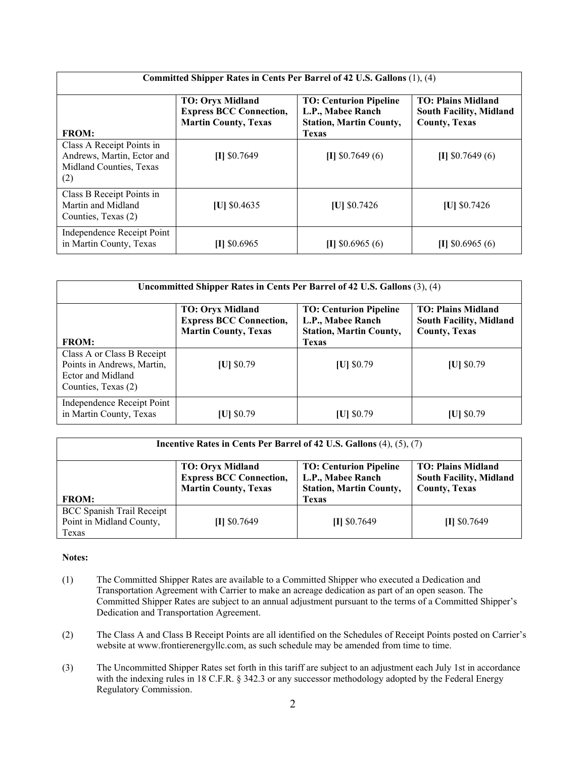| Committed Shipper Rates in Cents Per Barrel of 42 U.S. Gallons (1), (4)                   |                                                                                          |                                                                                                      |                                                                                     |  |  |
|-------------------------------------------------------------------------------------------|------------------------------------------------------------------------------------------|------------------------------------------------------------------------------------------------------|-------------------------------------------------------------------------------------|--|--|
| <b>FROM:</b>                                                                              | <b>TO: Oryx Midland</b><br><b>Express BCC Connection,</b><br><b>Martin County, Texas</b> | <b>TO: Centurion Pipeline</b><br>L.P., Mabee Ranch<br><b>Station, Martin County,</b><br><b>Texas</b> | <b>TO: Plains Midland</b><br><b>South Facility, Midland</b><br><b>County, Texas</b> |  |  |
| Class A Receipt Points in<br>Andrews, Martin, Ector and<br>Midland Counties, Texas<br>(2) | $[I]$ \$0.7649                                                                           | $[1]$ \$0.7649 (6)                                                                                   | $[1]$ \$0.7649 (6)                                                                  |  |  |
| Class B Receipt Points in<br>Martin and Midland<br>Counties, Texas (2)                    | $ U $ \$0.4635                                                                           | $ U $ \$0.7426                                                                                       | $ U $ \$0.7426                                                                      |  |  |
| Independence Receipt Point<br>in Martin County, Texas                                     | $[I]$ \$0.6965                                                                           | $[I]$ \$0.6965 (6)                                                                                   | $[I]$ \$0.6965 (6)                                                                  |  |  |

| Uncommitted Shipper Rates in Cents Per Barrel of 42 U.S. Gallons (3), (4)                            |                                                                                          |                                                                                                      |                                                                                     |  |  |
|------------------------------------------------------------------------------------------------------|------------------------------------------------------------------------------------------|------------------------------------------------------------------------------------------------------|-------------------------------------------------------------------------------------|--|--|
| <b>FROM:</b>                                                                                         | <b>TO: Oryx Midland</b><br><b>Express BCC Connection,</b><br><b>Martin County, Texas</b> | <b>TO: Centurion Pipeline</b><br>L.P., Mabee Ranch<br><b>Station, Martin County,</b><br><b>Texas</b> | <b>TO: Plains Midland</b><br><b>South Facility, Midland</b><br><b>County, Texas</b> |  |  |
| Class A or Class B Receipt<br>Points in Andrews, Martin,<br>Ector and Midland<br>Counties, Texas (2) | $ U $ \$0.79                                                                             | $ U $ \$0.79                                                                                         | $ U $ \$0.79                                                                        |  |  |
| Independence Receipt Point<br>in Martin County, Texas                                                | [U] \$0.79                                                                               | $ U $ \$0.79                                                                                         | $[U]$ \$0.79                                                                        |  |  |

| Incentive Rates in Cents Per Barrel of 42 U.S. Gallons (4), (5), (7)  |                                                                                          |                                                                                      |                                                                                     |  |  |
|-----------------------------------------------------------------------|------------------------------------------------------------------------------------------|--------------------------------------------------------------------------------------|-------------------------------------------------------------------------------------|--|--|
|                                                                       | <b>TO: Oryx Midland</b><br><b>Express BCC Connection,</b><br><b>Martin County, Texas</b> | <b>TO: Centurion Pipeline</b><br>L.P., Mabee Ranch<br><b>Station, Martin County,</b> | <b>TO: Plains Midland</b><br><b>South Facility, Midland</b><br><b>County, Texas</b> |  |  |
| <b>FROM:</b>                                                          |                                                                                          | <b>Texas</b>                                                                         |                                                                                     |  |  |
| <b>BCC Spanish Trail Receipt</b><br>Point in Midland County,<br>Texas | $II$ \$0.7649                                                                            | $II$ \$0.7649                                                                        | $II$ \$0.7649                                                                       |  |  |

#### **Notes:**

- (1) The Committed Shipper Rates are available to a Committed Shipper who executed a Dedication and Transportation Agreement with Carrier to make an acreage dedication as part of an open season. The Committed Shipper Rates are subject to an annual adjustment pursuant to the terms of a Committed Shipper's Dedication and Transportation Agreement.
- (2) The Class A and Class B Receipt Points are all identified on the Schedules of Receipt Points posted on Carrier's website at www.frontierenergyllc.com, as such schedule may be amended from time to time.
- (3) The Uncommitted Shipper Rates set forth in this tariff are subject to an adjustment each July 1st in accordance with the indexing rules in 18 C.F.R. § 342.3 or any successor methodology adopted by the Federal Energy Regulatory Commission.